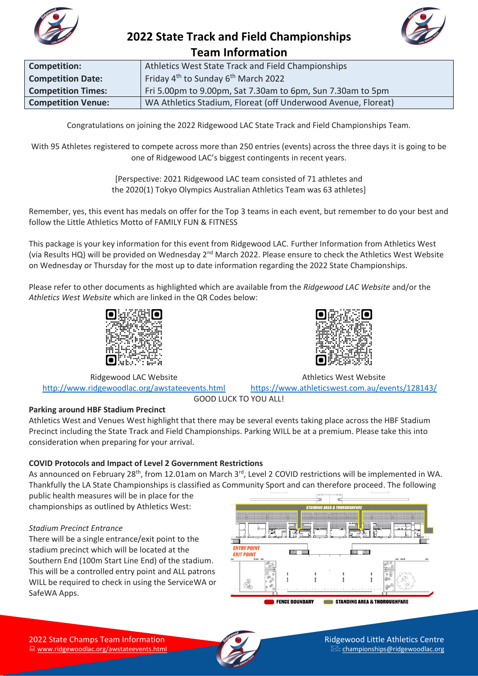



| <b>Competition:</b>       | Athletics West State Track and Field Championships            |  |
|---------------------------|---------------------------------------------------------------|--|
| <b>Competition Date:</b>  | Friday 4 <sup>th</sup> to Sunday 6 <sup>th</sup> March 2022   |  |
| <b>Competition Times:</b> | Fri 5.00pm to 9.00pm, Sat 7.30am to 6pm, Sun 7.30am to 5pm    |  |
| <b>Competition Venue:</b> | WA Athletics Stadium, Floreat (off Underwood Avenue, Floreat) |  |

Congratulations on joining the 2022 Ridgewood LAC State Track and Field Championships Team.

With 95 Athletes registered to compete across more than 250 entries (events) across the three days it is going to be one of Ridgewood LAC's biggest contingents in recent years.

> [Perspective: 2021 Ridgewood LAC team consisted of 71 athletes and the 2020(1) Tokyo Olympics Australian Athletics Team was 63 athletes]

Remember, yes, this event has medals on offer for the Top 3 teams in each event, but remember to do your best and follow the Little Athletics Motto of FAMILY FUN & FITNESS

This package is your key information for this event from Ridgewood LAC. Further Information from Athletics West (via Results HQ) will be provided on Wednesday 2<sup>nd</sup> March 2022. Please ensure to check the Athletics West Website on Wednesday or Thursday for the most up to date information regarding the 2022 State Championships.

Please refer to other documents as highlighted which are available from the *Ridgewood LAC Website* and/or the *Athletics West Website* which are linked in the QR Codes below:



Ridgewood LAC Website <http://www.ridgewoodlac.org/awstateevents.html>



Athletics West Website <https://www.athleticswest.com.au/events/128143/> GOOD LUCK TO YOU ALL!

# **Parking around HBF Stadium Precinct**

Athletics West and Venues West highlight that there may be several events taking place across the HBF Stadium Precinct including the State Track and Field Championships. Parking WILL be at a premium. Please take this into consideration when preparing for your arrival.

# **COVID Protocols and Impact of Level 2 Government Restrictions**

As announced on February 28<sup>th</sup>, from 12.01am on March 3<sup>rd</sup>, Level 2 COVID restrictions will be implemented in WA. Thankfully the LA State Championships is classified as Community Sport and can therefore proceed. The following

public health measures will be in place for the championships as outlined by Athletics West:

# *Stadium Precinct Entrance*

There will be a single entrance/exit point to the stadium precinct which will be located at the Southern End (100m Start Line End) of the stadium. This will be a controlled entry point and ALL patrons WILL be required to check in using the ServiceWA or SafeWA Apps.



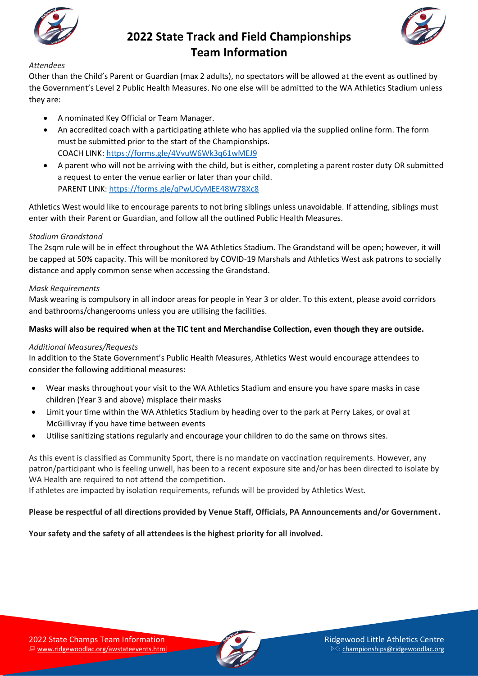



# *Attendees*

Other than the Child's Parent or Guardian (max 2 adults), no spectators will be allowed at the event as outlined by the Government's Level 2 Public Health Measures. No one else will be admitted to the WA Athletics Stadium unless they are:

- A nominated Key Official or Team Manager.
- An accredited coach with a participating athlete who has applied via the supplied online form. The form must be submitted prior to the start of the Championships. COACH LINK: <https://forms.gle/4VvuW6Wk3q61wMEJ9>
- A parent who will not be arriving with the child, but is either, completing a parent roster duty OR submitted a request to enter the venue earlier or later than your child. PARENT LINK: <https://forms.gle/qPwUCyMEE48W78Xc8>

Athletics West would like to encourage parents to not bring siblings unless unavoidable. If attending, siblings must enter with their Parent or Guardian, and follow all the outlined Public Health Measures.

# *Stadium Grandstand*

The 2sqm rule will be in effect throughout the WA Athletics Stadium. The Grandstand will be open; however, it will be capped at 50% capacity. This will be monitored by COVID-19 Marshals and Athletics West ask patrons to socially distance and apply common sense when accessing the Grandstand.

# *Mask Requirements*

Mask wearing is compulsory in all indoor areas for people in Year 3 or older. To this extent, please avoid corridors and bathrooms/changerooms unless you are utilising the facilities.

# **Masks will also be required when at the TIC tent and Merchandise Collection, even though they are outside.**

### *Additional Measures/Requests*

In addition to the State Government's Public Health Measures, Athletics West would encourage attendees to consider the following additional measures:

- Wear masks throughout your visit to the WA Athletics Stadium and ensure you have spare masks in case children (Year 3 and above) misplace their masks
- Limit your time within the WA Athletics Stadium by heading over to the park at Perry Lakes, or oval at McGillivray if you have time between events
- Utilise sanitizing stations regularly and encourage your children to do the same on throws sites.

As this event is classified as Community Sport, there is no mandate on vaccination requirements. However, any patron/participant who is feeling unwell, has been to a recent exposure site and/or has been directed to isolate by WA Health are required to not attend the competition.

If athletes are impacted by isolation requirements, refunds will be provided by Athletics West.

# **Please be respectful of all directions provided by Venue Staff, Officials, PA Announcements and/or Government.**

**Your safety and the safety of all attendees is the highest priority for all involved.** 

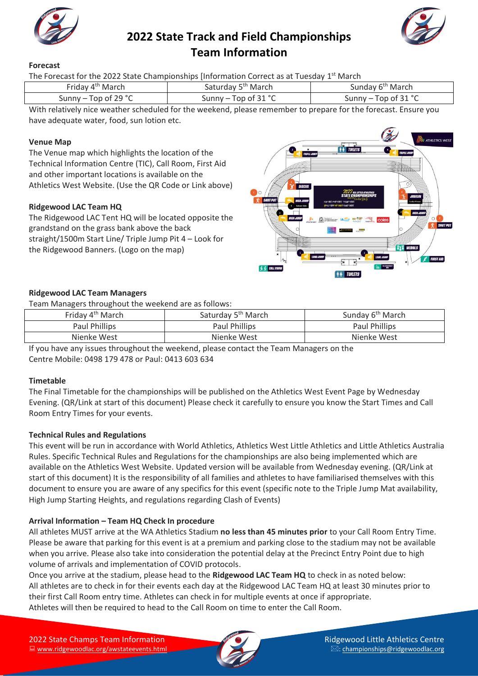



# **Forecast**

The Forecast for the 2022 State Championships [Information Correct as at Tuesday 1<sup>st</sup> March

| Friday 4 <sup>th</sup> March   | Saturday 5 <sup>th</sup> March   | Sunday 6 <sup>th</sup> March |
|--------------------------------|----------------------------------|------------------------------|
| Sunny – Top of 29 $^{\circ}$ C | Sunny $-$ Top of 31 $^{\circ}$ C | Sunny – Top of 31 $°C$       |

With relatively nice weather scheduled for the weekend, please remember to prepare for the forecast. Ensure you have adequate water, food, sun lotion etc.

# **Venue Map**

The Venue map which highlights the location of the Technical Information Centre (TIC), Call Room, First Aid and other important locations is available on the Athletics West Website. (Use the QR Code or Link above)

# **Ridgewood LAC Team HQ**

The Ridgewood LAC Tent HQ will be located opposite the grandstand on the grass bank above the back straight/1500m Start Line/ Triple Jump Pit 4 – Look for the Ridgewood Banners. (Logo on the map)



# **Ridgewood LAC Team Managers**

Team Managers throughout the weekend are as follows:

| Friday 4 <sup>th</sup> March | Saturday 5th March | Sunday 6 <sup>th</sup> March |
|------------------------------|--------------------|------------------------------|
| Paul Phillips                | Paul Phillips      | Paul Phillips                |
| Nienke West                  | Nienke West        | Nienke West                  |

If you have any issues throughout the weekend, please contact the Team Managers on the Centre Mobile: 0498 179 478 or Paul: 0413 603 634

### **Timetable**

The Final Timetable for the championships will be published on the Athletics West Event Page by Wednesday Evening. (QR/Link at start of this document) Please check it carefully to ensure you know the Start Times and Call Room Entry Times for your events.

### **Technical Rules and Regulations**

This event will be run in accordance with World Athletics, Athletics West Little Athletics and Little Athletics Australia Rules. Specific Technical Rules and Regulations for the championships are also being implemented which are available on the Athletics West Website. Updated version will be available from Wednesday evening. (QR/Link at start of this document) It is the responsibility of all families and athletes to have familiarised themselves with this document to ensure you are aware of any specifics for this event (specific note to the Triple Jump Mat availability, High Jump Starting Heights, and regulations regarding Clash of Events)

# **Arrival Information – Team HQ Check In procedure**

All athletes MUST arrive at the WA Athletics Stadium **no less than 45 minutes prior** to your Call Room Entry Time. Please be aware that parking for this event is at a premium and parking close to the stadium may not be available when you arrive. Please also take into consideration the potential delay at the Precinct Entry Point due to high volume of arrivals and implementation of COVID protocols.

Once you arrive at the stadium, please head to the **Ridgewood LAC Team HQ** to check in as noted below: All athletes are to check in for their events each day at the Ridgewood LAC Team HQ at least 30 minutes prior to their first Call Room entry time. Athletes can check in for multiple events at once if appropriate. Athletes will then be required to head to the Call Room on time to enter the Call Room.

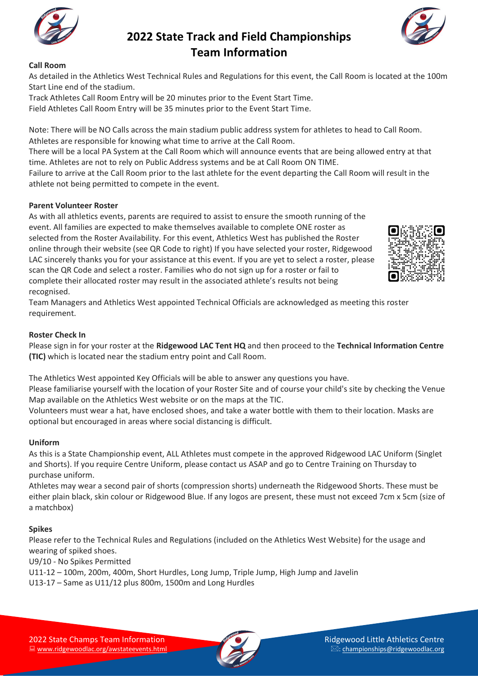

### **Call Room**

As detailed in the Athletics West Technical Rules and Regulations for this event, the Call Room is located at the 100m Start Line end of the stadium.

Track Athletes Call Room Entry will be 20 minutes prior to the Event Start Time.

Field Athletes Call Room Entry will be 35 minutes prior to the Event Start Time.

Note: There will be NO Calls across the main stadium public address system for athletes to head to Call Room. Athletes are responsible for knowing what time to arrive at the Call Room.

There will be a local PA System at the Call Room which will announce events that are being allowed entry at that time. Athletes are not to rely on Public Address systems and be at Call Room ON TIME.

Failure to arrive at the Call Room prior to the last athlete for the event departing the Call Room will result in the athlete not being permitted to compete in the event.

# **Parent Volunteer Roster**

As with all athletics events, parents are required to assist to ensure the smooth running of the event. All families are expected to make themselves available to complete ONE roster as selected from the Roster Availability. For this event, Athletics West has published the Roster online through their website (see QR Code to right) If you have selected your roster, Ridgewood LAC sincerely thanks you for your assistance at this event. If you are yet to select a roster, please scan the QR Code and select a roster. Families who do not sign up for a roster or fail to complete their allocated roster may result in the associated athlete's results not being recognised.

Team Managers and Athletics West appointed Technical Officials are acknowledged as meeting this roster requirement.

# **Roster Check In**

Please sign in for your roster at the **Ridgewood LAC Tent HQ** and then proceed to the **Technical Information Centre (TIC)** which is located near the stadium entry point and Call Room.

The Athletics West appointed Key Officials will be able to answer any questions you have.

Please familiarise yourself with the location of your Roster Site and of course your child's site by checking the Venue Map available on the Athletics West website or on the maps at the TIC.

Volunteers must wear a hat, have enclosed shoes, and take a water bottle with them to their location. Masks are optional but encouraged in areas where social distancing is difficult.

### **Uniform**

As this is a State Championship event, ALL Athletes must compete in the approved Ridgewood LAC Uniform (Singlet and Shorts). If you require Centre Uniform, please contact us ASAP and go to Centre Training on Thursday to purchase uniform.

Athletes may wear a second pair of shorts (compression shorts) underneath the Ridgewood Shorts. These must be either plain black, skin colour or Ridgewood Blue. If any logos are present, these must not exceed 7cm x 5cm (size of a matchbox)

### **Spikes**

Please refer to the Technical Rules and Regulations (included on the Athletics West Website) for the usage and wearing of spiked shoes.

U9/10 - No Spikes Permitted

U11-12 – 100m, 200m, 400m, Short Hurdles, Long Jump, Triple Jump, High Jump and Javelin

U13-17 – Same as U11/12 plus 800m, 1500m and Long Hurdles